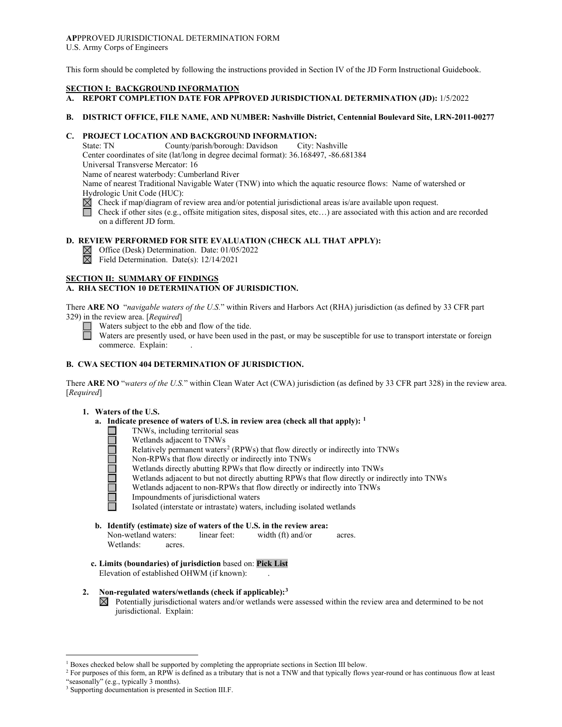#### **AP**PPROVED JURISDICTIONAL DETERMINATION FORM U.S. Army Corps of Engineers

This form should be completed by following the instructions provided in Section IV of the JD Form Instructional Guidebook.

## **SECTION I: BACKGROUND INFORMATION**

# **A. REPORT COMPLETION DATE FOR APPROVED JURISDICTIONAL DETERMINATION (JD):** 1/5/2022

### **B. DISTRICT OFFICE, FILE NAME, AND NUMBER: Nashville District, Centennial Boulevard Site, LRN-2011-00277**

# **C. PROJECT LOCATION AND BACKGROUND INFORMATION:**

State: TN County/parish/borough: Davidson City: Nashville Center coordinates of site (lat/long in degree decimal format): 36.168497, -86.681384

Universal Transverse Mercator: 16

Name of nearest waterbody: Cumberland River

Name of nearest Traditional Navigable Water (TNW) into which the aquatic resource flows: Name of watershed or Hydrologic Unit Code (HUC):

 $\boxtimes$  Check if map/diagram of review area and/or potential jurisdictional areas is/are available upon request.

 Check if other sites (e.g., offsite mitigation sites, disposal sites, etc…) are associated with this action and are recorded on a different JD form.

# **D. REVIEW PERFORMED FOR SITE EVALUATION (CHECK ALL THAT APPLY):**

 $\boxtimes$  Office (Desk) Determination. Date: 01/05/2022

 $\boxtimes$  Field Determination. Date(s): 12/14/2021

# **SECTION II: SUMMARY OF FINDINGS**

# **A. RHA SECTION 10 DETERMINATION OF JURISDICTION.**

There **ARE NO** "*navigable waters of the U.S.*" within Rivers and Harbors Act (RHA) jurisdiction (as defined by 33 CFR part 329) in the review area. [*Required*]

Waters subject to the ebb and flow of the tide.

Waters are presently used, or have been used in the past, or may be susceptible for use to transport interstate or foreign commerce. Explain:

# **B. CWA SECTION 404 DETERMINATION OF JURISDICTION.**

There **ARE NO** "*waters of the U.S.*" within Clean Water Act (CWA) jurisdiction (as defined by 33 CFR part 328) in the review area. [*Required*]

### **1. Waters of the U.S.**

 $\Box$ 

- **a. Indicate presence of waters of U.S. in review area (check all that apply): [1](#page-0-0)**
	- TNWs, including territorial seas
	- Wetlands adjacent to TNWs
	- Relatively permanent waters<sup>[2](#page-0-1)</sup> (RPWs) that flow directly or indirectly into TNWs
	- Non-RPWs that flow directly or indirectly into TNWs
	- Wetlands directly abutting RPWs that flow directly or indirectly into TNWs
	- Wetlands adjacent to but not directly abutting RPWs that flow directly or indirectly into TNWs
		- Wetlands adjacent to non-RPWs that flow directly or indirectly into TNWs
	- Impoundments of jurisdictional waters

Isolated (interstate or intrastate) waters, including isolated wetlands

- **b. Identify (estimate) size of waters of the U.S. in the review area:** Non-wetland waters: linear feet: width (ft) and/or acres. Wetlands: acres.
- **c. Limits (boundaries) of jurisdiction** based on: **Pick List** Elevation of established OHWM (if known): .
- **2. Non-regulated waters/wetlands (check if applicable):[3](#page-0-2)**
	- $\boxtimes$  Potentially jurisdictional waters and/or wetlands were assessed within the review area and determined to be not jurisdictional. Explain:

<span id="page-0-0"></span><sup>&</sup>lt;sup>1</sup> Boxes checked below shall be supported by completing the appropriate sections in Section III below.

<span id="page-0-1"></span><sup>&</sup>lt;sup>2</sup> For purposes of this form, an RPW is defined as a tributary that is not a TNW and that typically flows year-round or has continuous flow at least "seasonally" (e.g., typically 3 months).

<span id="page-0-2"></span><sup>3</sup> Supporting documentation is presented in Section III.F.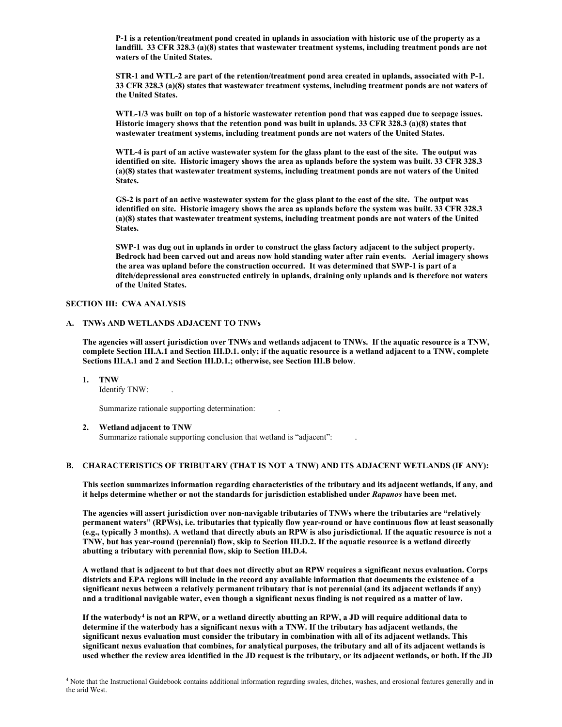**P-1 is a retention/treatment pond created in uplands in association with historic use of the property as a landfill. 33 CFR 328.3 (a)(8) states that wastewater treatment systems, including treatment ponds are not waters of the United States.**

**STR-1 and WTL-2 are part of the retention/treatment pond area created in uplands, associated with P-1. 33 CFR 328.3 (a)(8) states that wastewater treatment systems, including treatment ponds are not waters of the United States.** 

**WTL-1/3 was built on top of a historic wastewater retention pond that was capped due to seepage issues. Historic imagery shows that the retention pond was built in uplands. 33 CFR 328.3 (a)(8) states that wastewater treatment systems, including treatment ponds are not waters of the United States.**

**WTL-4 is part of an active wastewater system for the glass plant to the east of the site. The output was identified on site. Historic imagery shows the area as uplands before the system was built. 33 CFR 328.3 (a)(8) states that wastewater treatment systems, including treatment ponds are not waters of the United States.** 

**GS-2 is part of an active wastewater system for the glass plant to the east of the site. The output was identified on site. Historic imagery shows the area as uplands before the system was built. 33 CFR 328.3 (a)(8) states that wastewater treatment systems, including treatment ponds are not waters of the United States.** 

**SWP-1 was dug out in uplands in order to construct the glass factory adjacent to the subject property. Bedrock had been carved out and areas now hold standing water after rain events. Aerial imagery shows the area was upland before the construction occurred. It was determined that SWP-1 is part of a ditch/depressional area constructed entirely in uplands, draining only uplands and is therefore not waters of the United States.** 

## **SECTION III: CWA ANALYSIS**

### **A. TNWs AND WETLANDS ADJACENT TO TNWs**

**The agencies will assert jurisdiction over TNWs and wetlands adjacent to TNWs. If the aquatic resource is a TNW, complete Section III.A.1 and Section III.D.1. only; if the aquatic resource is a wetland adjacent to a TNW, complete Sections III.A.1 and 2 and Section III.D.1.; otherwise, see Section III.B below**.

**1. TNW**

Identify TNW: .

Summarize rationale supporting determination: .

#### **2. Wetland adjacent to TNW**

Summarize rationale supporting conclusion that wetland is "adjacent": .

### **B. CHARACTERISTICS OF TRIBUTARY (THAT IS NOT A TNW) AND ITS ADJACENT WETLANDS (IF ANY):**

**This section summarizes information regarding characteristics of the tributary and its adjacent wetlands, if any, and it helps determine whether or not the standards for jurisdiction established under** *Rapanos* **have been met.**

**The agencies will assert jurisdiction over non-navigable tributaries of TNWs where the tributaries are "relatively permanent waters" (RPWs), i.e. tributaries that typically flow year-round or have continuous flow at least seasonally (e.g., typically 3 months). A wetland that directly abuts an RPW is also jurisdictional. If the aquatic resource is not a TNW, but has year-round (perennial) flow, skip to Section III.D.2. If the aquatic resource is a wetland directly abutting a tributary with perennial flow, skip to Section III.D.4.**

**A wetland that is adjacent to but that does not directly abut an RPW requires a significant nexus evaluation. Corps districts and EPA regions will include in the record any available information that documents the existence of a significant nexus between a relatively permanent tributary that is not perennial (and its adjacent wetlands if any) and a traditional navigable water, even though a significant nexus finding is not required as a matter of law.**

**If the waterbody[4](#page-1-0) is not an RPW, or a wetland directly abutting an RPW, a JD will require additional data to determine if the waterbody has a significant nexus with a TNW. If the tributary has adjacent wetlands, the significant nexus evaluation must consider the tributary in combination with all of its adjacent wetlands. This significant nexus evaluation that combines, for analytical purposes, the tributary and all of its adjacent wetlands is used whether the review area identified in the JD request is the tributary, or its adjacent wetlands, or both. If the JD**

<span id="page-1-0"></span><sup>&</sup>lt;sup>4</sup> Note that the Instructional Guidebook contains additional information regarding swales, ditches, washes, and erosional features generally and in the arid West.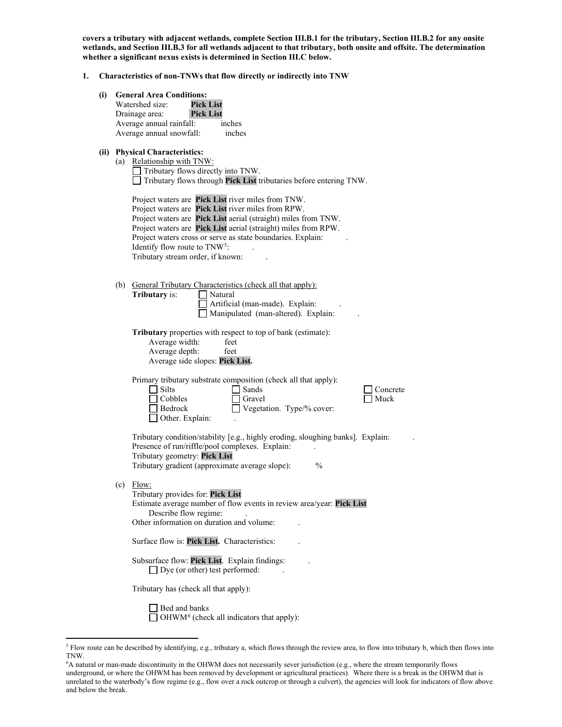**covers a tributary with adjacent wetlands, complete Section III.B.1 for the tributary, Section III.B.2 for any onsite wetlands, and Section III.B.3 for all wetlands adjacent to that tributary, both onsite and offsite. The determination whether a significant nexus exists is determined in Section III.C below.** 

- **1. Characteristics of non-TNWs that flow directly or indirectly into TNW**
	- **(i) General Area Conditions:**

**(ii)** 

| <b>General Area Conditions:</b>                                                                             |                                                                                                                                                                                                                                                                                                                                                                                      |  |  |  |  |
|-------------------------------------------------------------------------------------------------------------|--------------------------------------------------------------------------------------------------------------------------------------------------------------------------------------------------------------------------------------------------------------------------------------------------------------------------------------------------------------------------------------|--|--|--|--|
|                                                                                                             | <b>Pick List</b><br>Watershed size:                                                                                                                                                                                                                                                                                                                                                  |  |  |  |  |
|                                                                                                             | Drainage area:<br><b>Pick List</b><br>Average annual rainfall:<br>inches                                                                                                                                                                                                                                                                                                             |  |  |  |  |
|                                                                                                             | Average annual snowfall:<br>inches                                                                                                                                                                                                                                                                                                                                                   |  |  |  |  |
| <b>Physical Characteristics:</b><br>(a) Relationship with TNW:<br>$\Box$ Tributary flows directly into TNW. |                                                                                                                                                                                                                                                                                                                                                                                      |  |  |  |  |
|                                                                                                             | Tributary flows through Pick List tributaries before entering TNW.                                                                                                                                                                                                                                                                                                                   |  |  |  |  |
|                                                                                                             | Project waters are Pick List river miles from TNW.<br>Project waters are Pick List river miles from RPW.<br>Project waters are Pick List aerial (straight) miles from TNW.<br>Project waters are Pick List aerial (straight) miles from RPW.<br>Project waters cross or serve as state boundaries. Explain:<br>Identify flow route to $TNW^5$ :<br>Tributary stream order, if known: |  |  |  |  |
|                                                                                                             | (b) General Tributary Characteristics (check all that apply):<br>Tributary is:<br>  Natural<br>Artificial (man-made). Explain:<br>Manipulated (man-altered). Explain:                                                                                                                                                                                                                |  |  |  |  |
|                                                                                                             | Tributary properties with respect to top of bank (estimate):<br>Average width:<br>feet<br>Average depth:<br>feet<br>Average side slopes: Pick List.                                                                                                                                                                                                                                  |  |  |  |  |
|                                                                                                             | Primary tributary substrate composition (check all that apply):<br>Silts<br>Sands<br>Concrete<br>Cobbles<br>Muck<br>Gravel<br>Vegetation. Type/% cover:<br>  Bedrock<br>$\Box$ Other. Explain:                                                                                                                                                                                       |  |  |  |  |
|                                                                                                             | Tributary condition/stability [e.g., highly eroding, sloughing banks]. Explain:<br>Presence of run/riffle/pool complexes. Explain:<br>Tributary geometry: Pick List<br>Tributary gradient (approximate average slope):<br>$\frac{0}{0}$                                                                                                                                              |  |  |  |  |
| (c)                                                                                                         | Flow:<br>Tributary provides for: Pick List<br>Estimate average number of flow events in review area/year: Pick List<br>Describe flow regime:<br>Other information on duration and volume:                                                                                                                                                                                            |  |  |  |  |
|                                                                                                             | Surface flow is: Pick List. Characteristics:                                                                                                                                                                                                                                                                                                                                         |  |  |  |  |
|                                                                                                             | Subsurface flow: Pick List. Explain findings:<br>$\Box$ Dye (or other) test performed:                                                                                                                                                                                                                                                                                               |  |  |  |  |
|                                                                                                             | Tributary has (check all that apply):                                                                                                                                                                                                                                                                                                                                                |  |  |  |  |
|                                                                                                             | $\Box$ Bed and banks                                                                                                                                                                                                                                                                                                                                                                 |  |  |  |  |

 $\Box$  Dec and sumer-<br> $\Box$  OHWM<sup>[6](#page-2-1)</sup> (check all indicators that apply):

<span id="page-2-0"></span><sup>&</sup>lt;sup>5</sup> Flow route can be described by identifying, e.g., tributary a, which flows through the review area, to flow into tributary b, which then flows into TNW.

<span id="page-2-1"></span><sup>6</sup> A natural or man-made discontinuity in the OHWM does not necessarily sever jurisdiction (e.g., where the stream temporarily flows underground, or where the OHWM has been removed by development or agricultural practices). Where there is a break in the OHWM that is unrelated to the waterbody's flow regime (e.g., flow over a rock outcrop or through a culvert), the agencies will look for indicators of flow above and below the break.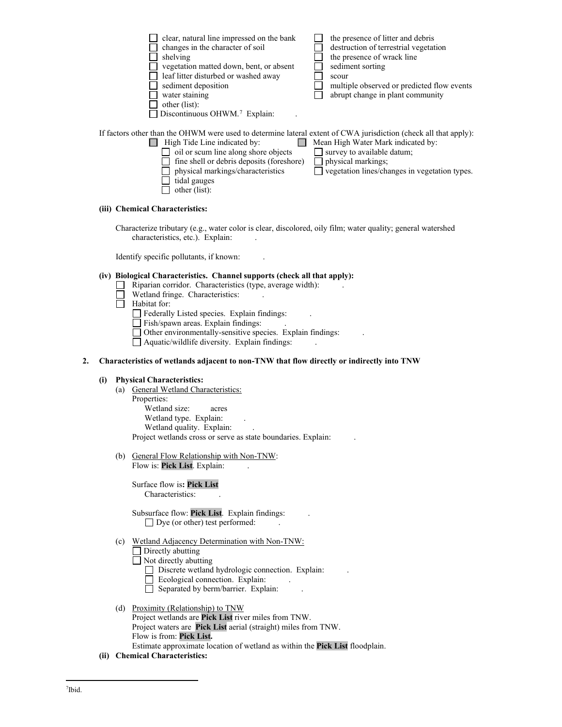| clear, natural line impressed on the bank                                                                        | the presence of litter and debris          |
|------------------------------------------------------------------------------------------------------------------|--------------------------------------------|
| changes in the character of soil                                                                                 | destruction of terrestrial vegetation      |
| shelving                                                                                                         | the presence of wrack line                 |
| vegetation matted down, bent, or absent                                                                          | sediment sorting                           |
| leaf litter disturbed or washed away                                                                             | scour                                      |
| sediment deposition                                                                                              | multiple observed or predicted flow events |
| water staining                                                                                                   | abrupt change in plant community           |
| other (list):                                                                                                    |                                            |
| Discontinuous OHWM. <sup>7</sup> Explain:                                                                        |                                            |
|                                                                                                                  |                                            |
| If factors other than the OHWM were used to determine lateral extent of CWA jurisdiction (check all that apply): |                                            |
| High Tide Line indicated by:                                                                                     | Mean High Water Mark indicated by:         |
| oil or scum line along shore objects                                                                             | survey to available datum;                 |
| fine shell or debris deposits (foreshore)                                                                        | physical markings:                         |

physical markings/characteristics  $\Box$  vegetation lines/changes in vegetation types.

## **(iii) Chemical Characteristics:**

Characterize tributary (e.g., water color is clear, discolored, oily film; water quality; general watershed characteristics, etc.). Explain:

Identify specific pollutants, if known: .

 $\Box$  tidal gauges  $\Box$  other (list):

#### **(iv) Biological Characteristics. Channel supports (check all that apply):**

- $\Box$  Riparian corridor. Characteristics (type, average width):
- $\Box$  Wetland fringe. Characteristics:
- $\overline{\Box}$  Habitat for:

Federally Listed species. Explain findings: .

Fish/spawn areas. Explain findings: .

Other environmentally-sensitive species. Explain findings: .

 $\Box$  Aquatic/wildlife diversity. Explain findings:

#### **2. Characteristics of wetlands adjacent to non-TNW that flow directly or indirectly into TNW**

#### **(i) Physical Characteristics:**

- (a) General Wetland Characteristics: Properties: Wetland size: acres Wetland type. Explain: Wetland quality. Explain: Project wetlands cross or serve as state boundaries. Explain: .
- (b) General Flow Relationship with Non-TNW: Flow is: **Pick List**. Explain: .

Surface flow is**: Pick List**  Characteristics: .

Subsurface flow: **Pick List**. Explain findings: .  $\Box$  Dye (or other) test performed:

# (c) Wetland Adjacency Determination with Non-TNW:

 $\Box$  Directly abutting

Not directly abutting

- Discrete wetland hydrologic connection. Explain:
- $\Box$  Ecological connection. Explain:
- $\Box$  Separated by berm/barrier. Explain:
- (d) Proximity (Relationship) to TNW Project wetlands are **Pick List** river miles from TNW. Project waters are **Pick List** aerial (straight) miles from TNW. Flow is from: **Pick List.** Estimate approximate location of wetland as within the **Pick List** floodplain.
- <span id="page-3-0"></span>**(ii) Chemical Characteristics:**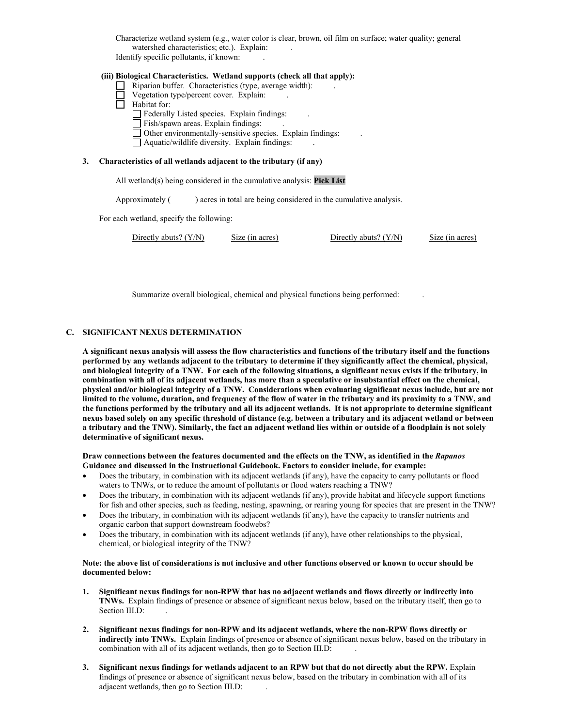Characterize wetland system (e.g., water color is clear, brown, oil film on surface; water quality; general watershed characteristics; etc.). Explain:

Identify specific pollutants, if known: .

# **(iii) Biological Characteristics. Wetland supports (check all that apply):**

- $\Box$  Riparian buffer. Characteristics (type, average width):
- $\Box$  Vegetation type/percent cover. Explain:
- $\Box$  Habitat for:

 $\Box$  Federally Listed species. Explain findings:

- $\Box$  Fish/spawn areas. Explain findings:
- $\Box$  Other environmentally-sensitive species. Explain findings:
- $\Box$  Aquatic/wildlife diversity. Explain findings:

#### **3. Characteristics of all wetlands adjacent to the tributary (if any)**

All wetland(s) being considered in the cumulative analysis: **Pick List**

Approximately ( ) acres in total are being considered in the cumulative analysis.

For each wetland, specify the following:

|--|

Summarize overall biological, chemical and physical functions being performed: .

### **C. SIGNIFICANT NEXUS DETERMINATION**

**A significant nexus analysis will assess the flow characteristics and functions of the tributary itself and the functions performed by any wetlands adjacent to the tributary to determine if they significantly affect the chemical, physical, and biological integrity of a TNW. For each of the following situations, a significant nexus exists if the tributary, in combination with all of its adjacent wetlands, has more than a speculative or insubstantial effect on the chemical, physical and/or biological integrity of a TNW. Considerations when evaluating significant nexus include, but are not limited to the volume, duration, and frequency of the flow of water in the tributary and its proximity to a TNW, and the functions performed by the tributary and all its adjacent wetlands. It is not appropriate to determine significant nexus based solely on any specific threshold of distance (e.g. between a tributary and its adjacent wetland or between a tributary and the TNW). Similarly, the fact an adjacent wetland lies within or outside of a floodplain is not solely determinative of significant nexus.** 

#### **Draw connections between the features documented and the effects on the TNW, as identified in the** *Rapanos* **Guidance and discussed in the Instructional Guidebook. Factors to consider include, for example:**

- Does the tributary, in combination with its adjacent wetlands (if any), have the capacity to carry pollutants or flood waters to TNWs, or to reduce the amount of pollutants or flood waters reaching a TNW?
- Does the tributary, in combination with its adjacent wetlands (if any), provide habitat and lifecycle support functions for fish and other species, such as feeding, nesting, spawning, or rearing young for species that are present in the TNW?
- Does the tributary, in combination with its adjacent wetlands (if any), have the capacity to transfer nutrients and organic carbon that support downstream foodwebs?
- Does the tributary, in combination with its adjacent wetlands (if any), have other relationships to the physical, chemical, or biological integrity of the TNW?

### **Note: the above list of considerations is not inclusive and other functions observed or known to occur should be documented below:**

- **1. Significant nexus findings for non-RPW that has no adjacent wetlands and flows directly or indirectly into TNWs.** Explain findings of presence or absence of significant nexus below, based on the tributary itself, then go to Section III.D:
- **2. Significant nexus findings for non-RPW and its adjacent wetlands, where the non-RPW flows directly or indirectly into TNWs.** Explain findings of presence or absence of significant nexus below, based on the tributary in combination with all of its adjacent wetlands, then go to Section III.D: .
- **3. Significant nexus findings for wetlands adjacent to an RPW but that do not directly abut the RPW.** Explain findings of presence or absence of significant nexus below, based on the tributary in combination with all of its adjacent wetlands, then go to Section III.D: .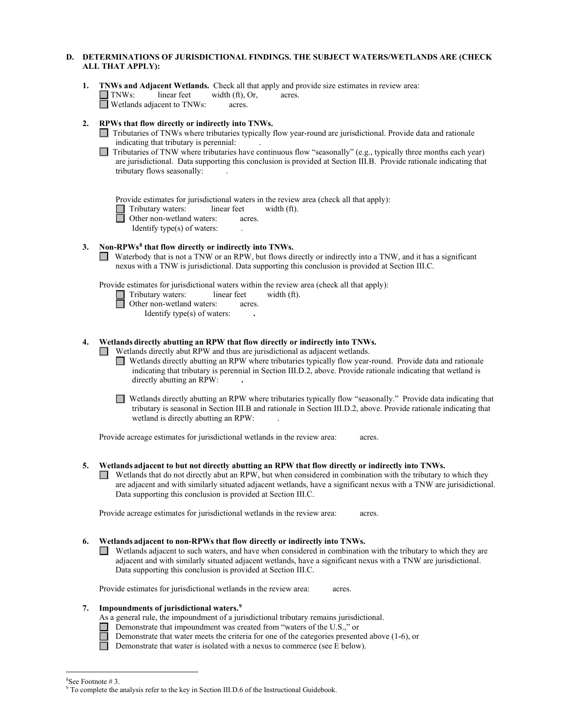# **D. DETERMINATIONS OF JURISDICTIONAL FINDINGS. THE SUBJECT WATERS/WETLANDS ARE (CHECK ALL THAT APPLY):**

**1. INWs and Adjacent Wetlands.** Check all that apply and provide size estimates in review area:<br> **INWs:** linear feet width (ft), Or, acres. width  $(f<sup>t</sup>)$ , Or, Wetlands adjacent to TNWs: acres.

## **2. RPWs that flow directly or indirectly into TNWs.**

- Tributaries of TNWs where tributaries typically flow year-round are jurisdictional. Provide data and rationale indicating that tributary is perennial: .
- $\Box$  Tributaries of TNW where tributaries have continuous flow "seasonally" (e.g., typically three months each year) are jurisdictional. Data supporting this conclusion is provided at Section III.B. Provide rationale indicating that tributary flows seasonally: .

Provide estimates for jurisdictional waters in the review area (check all that apply):

Tributary waters: linear feet width (ft).<br>
Other non-wetland waters: acres.

Other non-wetland waters: acres.

Identify type(s) of waters: .

# **3. Non-RPWs[8](#page-5-0) that flow directly or indirectly into TNWs.**

Waterbody that is not a TNW or an RPW, but flows directly or indirectly into a TNW, and it has a significant nexus with a TNW is jurisdictional. Data supporting this conclusion is provided at Section III.C.

Provide estimates for jurisdictional waters within the review area (check all that apply):

 Tributary waters: linear feet width (ft). Other non-wetland waters: acres. Identify type(s) of waters: **.**

# **4. Wetlands directly abutting an RPW that flow directly or indirectly into TNWs.**

Wetlands directly abut RPW and thus are jurisdictional as adjacent wetlands.

Wetlands directly abutting an RPW where tributaries typically flow year-round. Provide data and rationale indicating that tributary is perennial in Section III.D.2, above. Provide rationale indicating that wetland is directly abutting an RPW: **.**

Wetlands directly abutting an RPW where tributaries typically flow "seasonally." Provide data indicating that tributary is seasonal in Section III.B and rationale in Section III.D.2, above. Provide rationale indicating that wetland is directly abutting an RPW: .

Provide acreage estimates for jurisdictional wetlands in the review area: acres.

### **5. Wetlands adjacent to but not directly abutting an RPW that flow directly or indirectly into TNWs.**

 $\Box$  Wetlands that do not directly abut an RPW, but when considered in combination with the tributary to which they are adjacent and with similarly situated adjacent wetlands, have a significant nexus with a TNW are jurisidictional. Data supporting this conclusion is provided at Section III.C.

Provide acreage estimates for jurisdictional wetlands in the review area: acres.

### **6. Wetlands adjacent to non-RPWs that flow directly or indirectly into TNWs.**

Wetlands adjacent to such waters, and have when considered in combination with the tributary to which they are adjacent and with similarly situated adjacent wetlands, have a significant nexus with a TNW are jurisdictional. Data supporting this conclusion is provided at Section III.C.

Provide estimates for jurisdictional wetlands in the review area: acres.

### **7. Impoundments of jurisdictional waters.[9](#page-5-1)**

- 
- As a general rule, the impoundment of a jurisdictional tributary remains jurisdictional.
	- Demonstrate that impoundment was created from "waters of the U.S.," or
		- Demonstrate that water meets the criteria for one of the categories presented above (1-6), or
	- Demonstrate that water is isolated with a nexus to commerce (see  $\overline{E}$  below).

<sup>&</sup>lt;sup>8</sup>See Footnote #3.

<span id="page-5-1"></span><span id="page-5-0"></span> $9$  To complete the analysis refer to the key in Section III.D.6 of the Instructional Guidebook.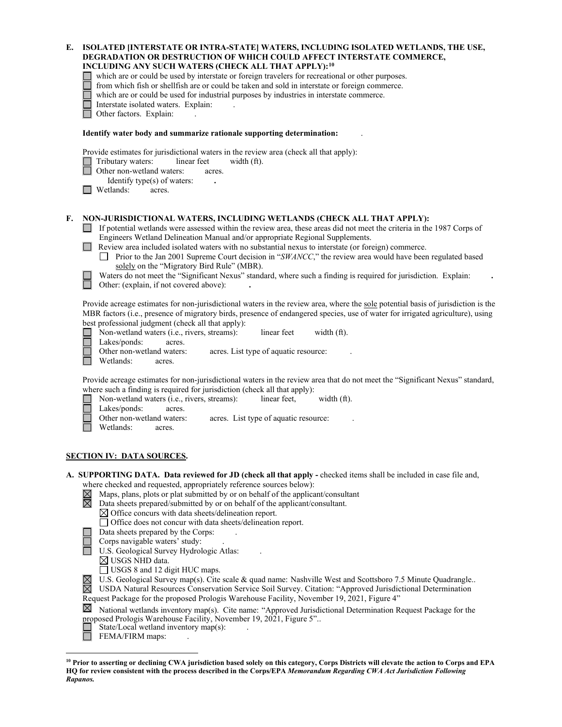| Е. | ISOLATED [INTERSTATE OR INTRA-STATE] WATERS, INCLUDING ISOLATED WETLANDS, THE USE,<br>DEGRADATION OR DESTRUCTION OF WHICH COULD AFFECT INTERSTATE COMMERCE,<br>INCLUDING ANY SUCH WATERS (CHECK ALL THAT APPLY):10<br>which are or could be used by interstate or foreign travelers for recreational or other purposes.<br>from which fish or shellfish are or could be taken and sold in interstate or foreign commerce.<br>which are or could be used for industrial purposes by industries in interstate commerce.<br>Interstate isolated waters. Explain:<br>Other factors. Explain:                                                                                                                                     |
|----|------------------------------------------------------------------------------------------------------------------------------------------------------------------------------------------------------------------------------------------------------------------------------------------------------------------------------------------------------------------------------------------------------------------------------------------------------------------------------------------------------------------------------------------------------------------------------------------------------------------------------------------------------------------------------------------------------------------------------|
|    | Identify water body and summarize rationale supporting determination:                                                                                                                                                                                                                                                                                                                                                                                                                                                                                                                                                                                                                                                        |
|    | Provide estimates for jurisdictional waters in the review area (check all that apply):<br>Tributary waters:<br>linear feet<br>width (ft).<br>Other non-wetland waters:<br>acres.<br>Identify type(s) of waters:<br>Wetlands:<br>acres.                                                                                                                                                                                                                                                                                                                                                                                                                                                                                       |
| F. | NON-JURISDICTIONAL WATERS, INCLUDING WETLANDS (CHECK ALL THAT APPLY):<br>If potential wetlands were assessed within the review area, these areas did not meet the criteria in the 1987 Corps of<br>Engineers Wetland Delineation Manual and/or appropriate Regional Supplements.<br>Review area included isolated waters with no substantial nexus to interstate (or foreign) commerce.<br>Prior to the Jan 2001 Supreme Court decision in "SWANCC," the review area would have been regulated based<br>$\perp$<br>solely on the "Migratory Bird Rule" (MBR).<br>Waters do not meet the "Significant Nexus" standard, where such a finding is required for jurisdiction. Explain:<br>Other: (explain, if not covered above): |
|    | Provide acreage estimates for non-jurisdictional waters in the review area, where the sole potential basis of jurisdiction is the<br>MBR factors (i.e., presence of migratory birds, presence of endangered species, use of water for irrigated agriculture), using<br>best professional judgment (check all that apply):<br>$\Box$ Non-wetland waters (i.e., rivers, streams):<br>linear feet<br>width (ft).<br>Lakes/ponds:<br>acres.<br>Other non-wetland waters:<br>acres. List type of aquatic resource:<br>Wetlands:<br>acres.                                                                                                                                                                                         |
|    | Provide acreage estimates for non-jurisdictional waters in the review area that do not meet the "Significant Nexus" standard,<br>where such a finding is required for jurisdiction (check all that apply):<br>Non-wetland waters (i.e., rivers, streams):<br>width (ft).<br>linear feet,<br>Lakes/ponds:<br>acres.<br>Other non-wetland waters:<br>acres. List type of aquatic resource:<br>Wetlands:<br>acres.                                                                                                                                                                                                                                                                                                              |
|    | <u>SECTION IV: DATA SOURCES.</u>                                                                                                                                                                                                                                                                                                                                                                                                                                                                                                                                                                                                                                                                                             |
|    | A. SUPPORTING DATA. Data reviewed for JD (check all that apply - checked items shall be included in case file and,<br>where checked and requested, appropriately reference sources below):<br>Maps, plans, plots or plat submitted by or on behalf of the applicant/consultant<br>⊠<br>⊠<br>Data sheets prepared/submitted by or on behalf of the applicant/consultant.<br>$\boxtimes$ Office concurs with data sheets/delineation report.<br>□ Office does not concur with data sheets/delineation report.<br>Data sheets prepared by the Corps:                                                                                                                                                                            |

- 
- Corps navigable waters' study: .
- U.S. Geological Survey Hydrologic Atlas: .
	- USGS NHD data.
	- USGS 8 and 12 digit HUC maps.
- U.S. Geological Survey map(s). Cite scale & quad name: Nashville West and Scottsboro 7.5 Minute Quadrangle..
- USDA Natural Resources Conservation Service Soil Survey. Citation: "Approved Jurisdictional Determination Request Package for the proposed Prologis Warehouse Facility, November 19, 2021, Figure 4"

 $\boxtimes$  National wetlands inventory map(s). Cite name: "Approved Jurisdictional Determination Request Package for the proposed Prologis Warehouse Facility, November 19, 2021, Figure 5"..

- $\Box$  State/Local wetland inventory map(s):
- $\Box$  FEMA/FIRM maps:

<span id="page-6-0"></span>**<sup>10</sup> Prior to asserting or declining CWA jurisdiction based solely on this category, Corps Districts will elevate the action to Corps and EPA HQ for review consistent with the process described in the Corps/EPA** *Memorandum Regarding CWA Act Jurisdiction Following Rapanos.*